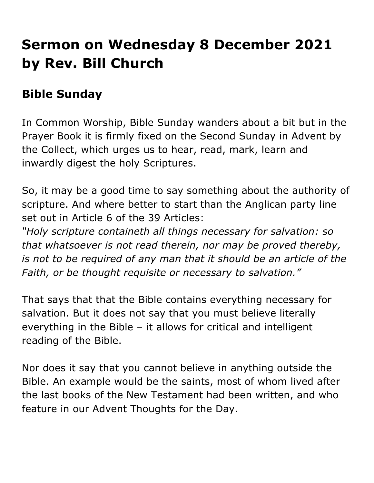## **Sermon on Wednesday 8 December 2021 by Rev. Bill Church**

## **Bible Sunday**

In Common Worship, Bible Sunday wanders about a bit but in the Prayer Book it is firmly fixed on the Second Sunday in Advent by the Collect, which urges us to hear, read, mark, learn and inwardly digest the holy Scriptures.

So, it may be a good time to say something about the authority of scripture. And where better to start than the Anglican party line set out in Article 6 of the 39 Articles:

*"Holy scripture containeth all things necessary for salvation: so that whatsoever is not read therein, nor may be proved thereby, is not to be required of any man that it should be an article of the Faith, or be thought requisite or necessary to salvation."*

That says that that the Bible contains everything necessary for salvation. But it does not say that you must believe literally everything in the Bible – it allows for critical and intelligent reading of the Bible.

Nor does it say that you cannot believe in anything outside the Bible. An example would be the saints, most of whom lived after the last books of the New Testament had been written, and who feature in our Advent Thoughts for the Day.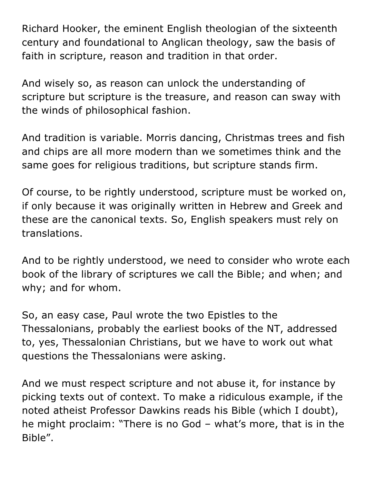Richard Hooker, the eminent English theologian of the sixteenth century and foundational to Anglican theology, saw the basis of faith in scripture, reason and tradition in that order.

And wisely so, as reason can unlock the understanding of scripture but scripture is the treasure, and reason can sway with the winds of philosophical fashion.

And tradition is variable. Morris dancing, Christmas trees and fish and chips are all more modern than we sometimes think and the same goes for religious traditions, but scripture stands firm.

Of course, to be rightly understood, scripture must be worked on, if only because it was originally written in Hebrew and Greek and these are the canonical texts. So, English speakers must rely on translations.

And to be rightly understood, we need to consider who wrote each book of the library of scriptures we call the Bible; and when; and why; and for whom.

So, an easy case, Paul wrote the two Epistles to the Thessalonians, probably the earliest books of the NT, addressed to, yes, Thessalonian Christians, but we have to work out what questions the Thessalonians were asking.

And we must respect scripture and not abuse it, for instance by picking texts out of context. To make a ridiculous example, if the noted atheist Professor Dawkins reads his Bible (which I doubt), he might proclaim: "There is no God – what's more, that is in the Bible".